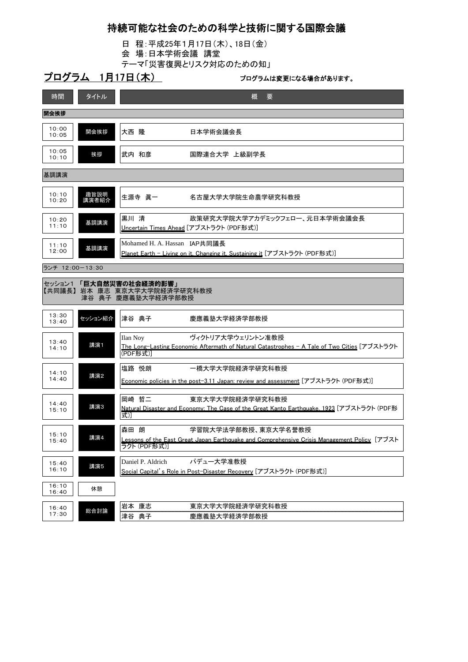## 持続可能な社会のための科学と技術に関する国際会議

- 日 程:平成25年1月17日(木)、18日(金)
- 会 場:日本学術会議 講堂
- テーマ「災害復興とリスク対応のための知」

## プログラム 1月17日(木) マンスコンファイルは変更になる場合があります。

| 時間                                                                           | タイトル          | 概<br>要                                                                                                                                          |  |  |
|------------------------------------------------------------------------------|---------------|-------------------------------------------------------------------------------------------------------------------------------------------------|--|--|
| 開会挨拶                                                                         |               |                                                                                                                                                 |  |  |
| 10:00<br>10:05                                                               | 開会挨拶          | 大西 隆<br>日本学術会議会長                                                                                                                                |  |  |
| 10:05<br>10:10                                                               | 挨拶            | 武内 和彦<br>国際連合大学 上級副学長                                                                                                                           |  |  |
| 基調講演                                                                         |               |                                                                                                                                                 |  |  |
| 10:10<br>10:20                                                               | 趣旨説明<br>講演者紹介 | 名古屋大学大学院生命農学研究科教授<br>生源寺 眞一                                                                                                                     |  |  |
| 10:20<br>11:10                                                               | 基調講演          | 黒川清<br>政策研究大学院大学アカデミックフェロー、元日本学術会議会長<br>Uncertain Times Ahead [アブストラクト (PDF形式)]                                                                 |  |  |
| 11:10<br>12:00                                                               | 基調講演          | Mohamed H. A. Hassan IAP共同議長<br>Planet Earth - Living on it, Changing it, Sustaining it [アフストラクト (PDF形式)]                                       |  |  |
| ランチ 12:00-13:30                                                              |               |                                                                                                                                                 |  |  |
| セッション1 「巨大自然災害の社会経済的影響」<br>【共同議長】岩本 康志 東京大学大学院経済学研究科教授<br>津谷 典子 慶應義塾大学経済学部教授 |               |                                                                                                                                                 |  |  |
| 13:30<br>13:40                                                               | セッション紹介       | 津谷 典子<br>慶應義塾大学経済学部教授                                                                                                                           |  |  |
| 13:40<br>14:10                                                               | 講演1           | ヴィクトリア大学ウェリントン准教授<br><b>Ilan Noy</b><br>The Long-Lasting Economic Aftermath of Natural Catastrophes - A Tale of Two Cities [アブストラクト<br>(PDF形式)] |  |  |
| 14:10                                                                        | 講演2           | 一橋大学大学院経済学研究科教授<br>塩路 悦朗                                                                                                                        |  |  |
| 14:40                                                                        |               | Economic policies in the post-3.11 Japan: review and assessment [アブストラクト (PDF形式)]                                                               |  |  |
| 14:40<br>15:10                                                               | 講演3           | 岡崎 哲二<br>東京大学大学院経済学研究科教授<br>Natural Disaster and Economy: The Case of the Great Kanto Earthquake, 1923 [アブストラクト (PDF形<br>式〕                     |  |  |
|                                                                              |               |                                                                                                                                                 |  |  |
| 15:10<br>15:40                                                               | 講演4           | 森田 朗<br>学習院大学法学部教授、東京大学名誉教授<br>Lessons of the East Great Japan Earthquake and Comprehensive Crisis Management Policy[アフスト<br>ラクト (PDF形式)]       |  |  |
| 15:40<br>16:10                                                               | 講演5           | パデュー大学准教授<br>Daniel P. Aldrich<br>Social Capital's Role in Post-Disaster Recovery [アブストラクト (PDF形式)]                                             |  |  |
| 16:10<br>16:40                                                               | 休憩            |                                                                                                                                                 |  |  |